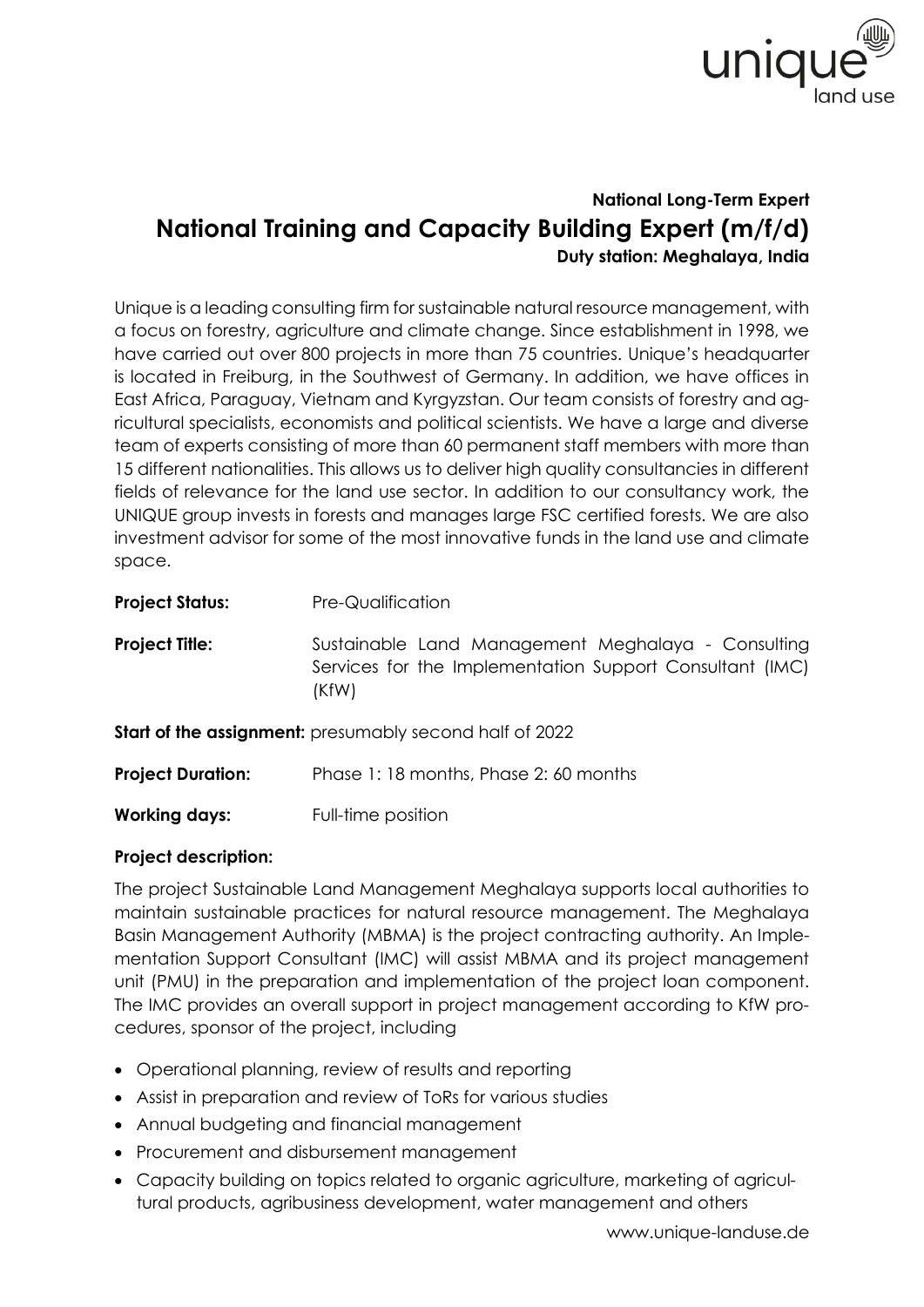

## **National Long-Term Expert National Training and Capacity Building Expert (m/f/d) Duty station: Meghalaya, India**

Unique is a leading consulting firm for sustainable natural resource management, with a focus on forestry, agriculture and climate change. Since establishment in 1998, we have carried out over 800 projects in more than 75 countries. Unique's headquarter is located in Freiburg, in the Southwest of Germany. In addition, we have offices in East Africa, Paraguay, Vietnam and Kyrgyzstan. Our team consists of forestry and agricultural specialists, economists and political scientists. We have a large and diverse team of experts consisting of more than 60 permanent staff members with more than 15 different nationalities. This allows us to deliver high quality consultancies in different fields of relevance for the land use sector. In addition to our consultancy work, the UNIQUE group invests in forests and manages large FSC certified forests. We are also investment advisor for some of the most innovative funds in the land use and climate space.

| <b>Project Status:</b>   | Pre-Qualification                                                                                                       |
|--------------------------|-------------------------------------------------------------------------------------------------------------------------|
| <b>Project Title:</b>    | Sustainable Land Management Meghalaya - Consulting<br>Services for the Implementation Support Consultant (IMC)<br>(KfW) |
|                          | <b>Start of the assignment:</b> presumably second half of 2022                                                          |
| <b>Project Duration:</b> | Phase 1:18 months, Phase 2:60 months                                                                                    |
| <b>Working days:</b>     | Full-time position                                                                                                      |

## **Project description:**

The project Sustainable Land Management Meghalaya supports local authorities to maintain sustainable practices for natural resource management. The Meghalaya Basin Management Authority (MBMA) is the project contracting authority. An Implementation Support Consultant (IMC) will assist MBMA and its project management unit (PMU) in the preparation and implementation of the project loan component. The IMC provides an overall support in project management according to KfW procedures, sponsor of the project, including

- Operational planning, review of results and reporting
- Assist in preparation and review of ToRs for various studies
- Annual budgeting and financial management
- Procurement and disbursement management
- Capacity building on topics related to organic agriculture, marketing of agricultural products, agribusiness development, water management and others